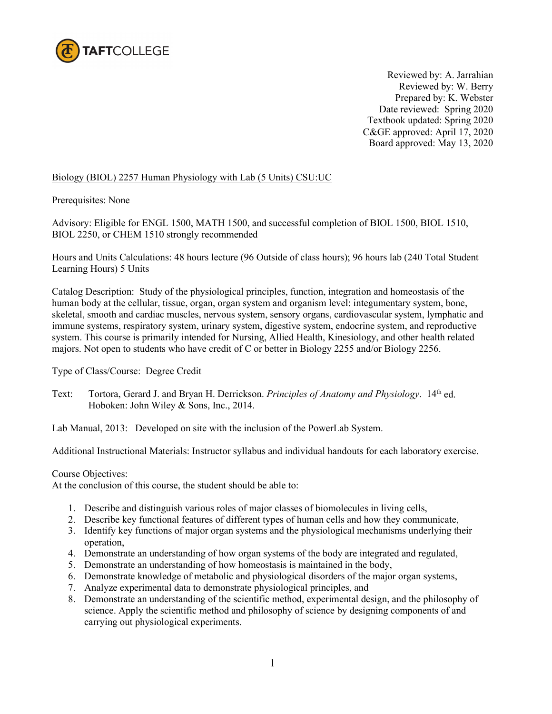

Reviewed by: A. Jarrahian Reviewed by: W. Berry Prepared by: K. Webster Date reviewed: Spring 2020 Textbook updated: Spring 2020 C&GE approved: April 17, 2020 Board approved: May 13, 2020

# Biology (BIOL) 2257 Human Physiology with Lab (5 Units) CSU:UC

Prerequisites: None

Advisory: Eligible for ENGL 1500, MATH 1500, and successful completion of BIOL 1500, BIOL 1510, BIOL 2250, or CHEM 1510 strongly recommended

Hours and Units Calculations: 48 hours lecture (96 Outside of class hours); 96 hours lab (240 Total Student Learning Hours) 5 Units

Catalog Description: Study of the physiological principles, function, integration and homeostasis of the human body at the cellular, tissue, organ, organ system and organism level: integumentary system, bone, skeletal, smooth and cardiac muscles, nervous system, sensory organs, cardiovascular system, lymphatic and immune systems, respiratory system, urinary system, digestive system, endocrine system, and reproductive system. This course is primarily intended for Nursing, Allied Health, Kinesiology, and other health related majors. Not open to students who have credit of C or better in Biology 2255 and/or Biology 2256.

Type of Class/Course: Degree Credit

Text: Tortora, Gerard J. and Bryan H. Derrickson. *Principles of Anatomy and Physiology*. 14<sup>th</sup> ed. Hoboken: John Wiley & Sons, Inc., 2014.

Lab Manual, 2013: Developed on site with the inclusion of the PowerLab System.

Additional Instructional Materials: Instructor syllabus and individual handouts for each laboratory exercise.

### Course Objectives:

At the conclusion of this course, the student should be able to:

- 1. Describe and distinguish various roles of major classes of biomolecules in living cells,
- 2. Describe key functional features of different types of human cells and how they communicate,
- 3. Identify key functions of major organ systems and the physiological mechanisms underlying their operation,
- 4. Demonstrate an understanding of how organ systems of the body are integrated and regulated,
- 5. Demonstrate an understanding of how homeostasis is maintained in the body,
- 6. Demonstrate knowledge of metabolic and physiological disorders of the major organ systems,
- 7. Analyze experimental data to demonstrate physiological principles, and
- 8. Demonstrate an understanding of the scientific method, experimental design, and the philosophy of science. Apply the scientific method and philosophy of science by designing components of and carrying out physiological experiments.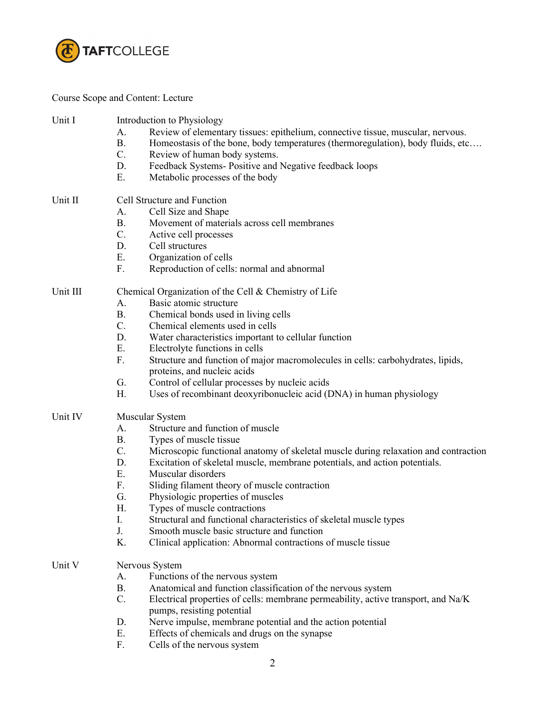

Course Scope and Content: Lecture

| Unit I   | Introduction to Physiology<br>Review of elementary tissues: epithelium, connective tissue, muscular, nervous.<br>А.<br><b>B.</b><br>Homeostasis of the bone, body temperatures (thermoregulation), body fluids, etc<br>$C$ .<br>Review of human body systems.<br>D.<br>Feedback Systems- Positive and Negative feedback loops |  |  |
|----------|-------------------------------------------------------------------------------------------------------------------------------------------------------------------------------------------------------------------------------------------------------------------------------------------------------------------------------|--|--|
|          | Ε.<br>Metabolic processes of the body                                                                                                                                                                                                                                                                                         |  |  |
| Unit II  | Cell Structure and Function                                                                                                                                                                                                                                                                                                   |  |  |
|          | Cell Size and Shape<br>А.<br>Movement of materials across cell membranes<br><b>B.</b>                                                                                                                                                                                                                                         |  |  |
|          | $C$ .<br>Active cell processes                                                                                                                                                                                                                                                                                                |  |  |
|          | D.<br>Cell structures                                                                                                                                                                                                                                                                                                         |  |  |
|          | E.<br>Organization of cells                                                                                                                                                                                                                                                                                                   |  |  |
|          | F.<br>Reproduction of cells: normal and abnormal                                                                                                                                                                                                                                                                              |  |  |
|          |                                                                                                                                                                                                                                                                                                                               |  |  |
| Unit III | Chemical Organization of the Cell & Chemistry of Life                                                                                                                                                                                                                                                                         |  |  |
|          | Basic atomic structure<br>А.                                                                                                                                                                                                                                                                                                  |  |  |
|          | <b>B.</b><br>Chemical bonds used in living cells                                                                                                                                                                                                                                                                              |  |  |
|          | C.<br>Chemical elements used in cells                                                                                                                                                                                                                                                                                         |  |  |
|          | D.<br>Water characteristics important to cellular function                                                                                                                                                                                                                                                                    |  |  |
|          | Ε.<br>Electrolyte functions in cells                                                                                                                                                                                                                                                                                          |  |  |
|          | F.<br>Structure and function of major macromolecules in cells: carbohydrates, lipids,<br>proteins, and nucleic acids                                                                                                                                                                                                          |  |  |
|          | Control of cellular processes by nucleic acids<br>G.                                                                                                                                                                                                                                                                          |  |  |
|          | Uses of recombinant deoxyribonucleic acid (DNA) in human physiology<br>Η.                                                                                                                                                                                                                                                     |  |  |
| Unit IV  | Muscular System                                                                                                                                                                                                                                                                                                               |  |  |
|          | Structure and function of muscle<br>А.                                                                                                                                                                                                                                                                                        |  |  |
|          | Β.<br>Types of muscle tissue                                                                                                                                                                                                                                                                                                  |  |  |
|          | $C_{\cdot}$<br>Microscopic functional anatomy of skeletal muscle during relaxation and contraction                                                                                                                                                                                                                            |  |  |
|          | D.<br>Excitation of skeletal muscle, membrane potentials, and action potentials.                                                                                                                                                                                                                                              |  |  |
|          | Ε.<br>Muscular disorders                                                                                                                                                                                                                                                                                                      |  |  |
|          | F.<br>Sliding filament theory of muscle contraction                                                                                                                                                                                                                                                                           |  |  |
|          | G.<br>Physiologic properties of muscles                                                                                                                                                                                                                                                                                       |  |  |
|          | Η.<br>Types of muscle contractions                                                                                                                                                                                                                                                                                            |  |  |
|          | I.<br>Structural and functional characteristics of skeletal muscle types                                                                                                                                                                                                                                                      |  |  |
|          | J.<br>Smooth muscle basic structure and function                                                                                                                                                                                                                                                                              |  |  |
|          | K.<br>Clinical application: Abnormal contractions of muscle tissue                                                                                                                                                                                                                                                            |  |  |
|          |                                                                                                                                                                                                                                                                                                                               |  |  |
| Unit V   | Nervous System                                                                                                                                                                                                                                                                                                                |  |  |
|          | Functions of the nervous system<br>A.                                                                                                                                                                                                                                                                                         |  |  |
|          | B.<br>Anatomical and function classification of the nervous system                                                                                                                                                                                                                                                            |  |  |
|          | C.<br>Electrical properties of cells: membrane permeability, active transport, and Na/K<br>pumps, resisting potential                                                                                                                                                                                                         |  |  |
|          | Nerve impulse, membrane potential and the action potential<br>D.                                                                                                                                                                                                                                                              |  |  |
|          | Ε.<br>Effects of chemicals and drugs on the synapse                                                                                                                                                                                                                                                                           |  |  |
|          | F.<br>Cells of the nervous system                                                                                                                                                                                                                                                                                             |  |  |
|          |                                                                                                                                                                                                                                                                                                                               |  |  |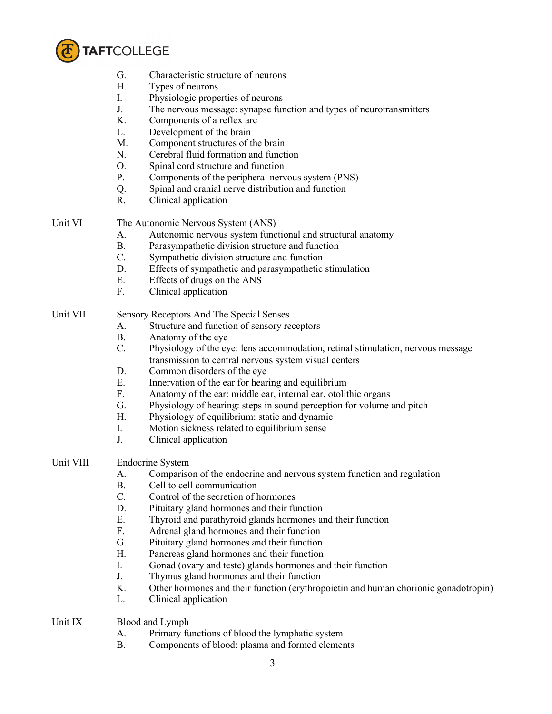

- G. Characteristic structure of neurons
- H. Types of neurons
- I. Physiologic properties of neurons
- J. The nervous message: synapse function and types of neurotransmitters
- K. Components of a reflex arc
- L. Development of the brain
- M. Component structures of the brain
- N. Cerebral fluid formation and function
- O. Spinal cord structure and function
- P. Components of the peripheral nervous system (PNS)
- Q. Spinal and cranial nerve distribution and function
- R. Clinical application

Unit VI The Autonomic Nervous System (ANS)

- A. Autonomic nervous system functional and structural anatomy
- B. Parasympathetic division structure and function
- C. Sympathetic division structure and function
- D. Effects of sympathetic and parasympathetic stimulation
- E. Effects of drugs on the ANS
- F. Clinical application

# Unit VII Sensory Receptors And The Special Senses

- A. Structure and function of sensory receptors
- B. Anatomy of the eye
- C. Physiology of the eye: lens accommodation, retinal stimulation, nervous message transmission to central nervous system visual centers
- D. Common disorders of the eye
- E. Innervation of the ear for hearing and equilibrium
- F. Anatomy of the ear: middle ear, internal ear, otolithic organs
- G. Physiology of hearing: steps in sound perception for volume and pitch
- H. Physiology of equilibrium: static and dynamic
- I. Motion sickness related to equilibrium sense
- J. Clinical application
- Unit VIII Endocrine System
	- A. Comparison of the endocrine and nervous system function and regulation
	- B. Cell to cell communication
	- C. Control of the secretion of hormones
	- D. Pituitary gland hormones and their function
	- E. Thyroid and parathyroid glands hormones and their function
	- F. Adrenal gland hormones and their function
	- G. Pituitary gland hormones and their function
	- H. Pancreas gland hormones and their function
	- I. Gonad (ovary and teste) glands hormones and their function
	- J. Thymus gland hormones and their function
	- K. Other hormones and their function (erythropoietin and human chorionic gonadotropin)
	- L. Clinical application
- Unit IX Blood and Lymph
	- A. Primary functions of blood the lymphatic system
	- B. Components of blood: plasma and formed elements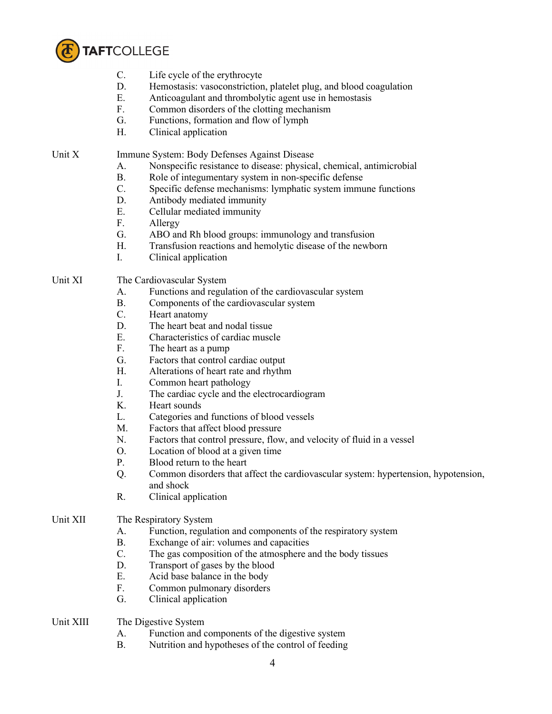

- C. Life cycle of the erythrocyte
- D. Hemostasis: vasoconstriction, platelet plug, and blood coagulation
- E. Anticoagulant and thrombolytic agent use in hemostasis
- F. Common disorders of the clotting mechanism
- G. Functions, formation and flow of lymph
- H. Clinical application

Unit X Immune System: Body Defenses Against Disease

- A. Nonspecific resistance to disease: physical, chemical, antimicrobial
- B. Role of integumentary system in non-specific defense
- C. Specific defense mechanisms: lymphatic system immune functions
- D. Antibody mediated immunity
- E. Cellular mediated immunity
- F. Allergy
- G. ABO and Rh blood groups: immunology and transfusion
- H. Transfusion reactions and hemolytic disease of the newborn
- I. Clinical application

## Unit XI The Cardiovascular System

- A. Functions and regulation of the cardiovascular system
- B. Components of the cardiovascular system
- C. Heart anatomy
- D. The heart beat and nodal tissue
- E. Characteristics of cardiac muscle
- F. The heart as a pump
- G. Factors that control cardiac output
- H. Alterations of heart rate and rhythm
- I. Common heart pathology
- J. The cardiac cycle and the electrocardiogram
- K. Heart sounds
- L. Categories and functions of blood vessels
- M. Factors that affect blood pressure
- N. Factors that control pressure, flow, and velocity of fluid in a vessel
- O. Location of blood at a given time
- P. Blood return to the heart
- Q. Common disorders that affect the cardiovascular system: hypertension, hypotension, and shock
- R. Clinical application

### Unit XII The Respiratory System

- A. Function, regulation and components of the respiratory system
- B. Exchange of air: volumes and capacities
- C. The gas composition of the atmosphere and the body tissues
- D. Transport of gases by the blood
- E. Acid base balance in the body
- F. Common pulmonary disorders
- G. Clinical application
- Unit XIII The Digestive System
	- A. Function and components of the digestive system
	- B. Nutrition and hypotheses of the control of feeding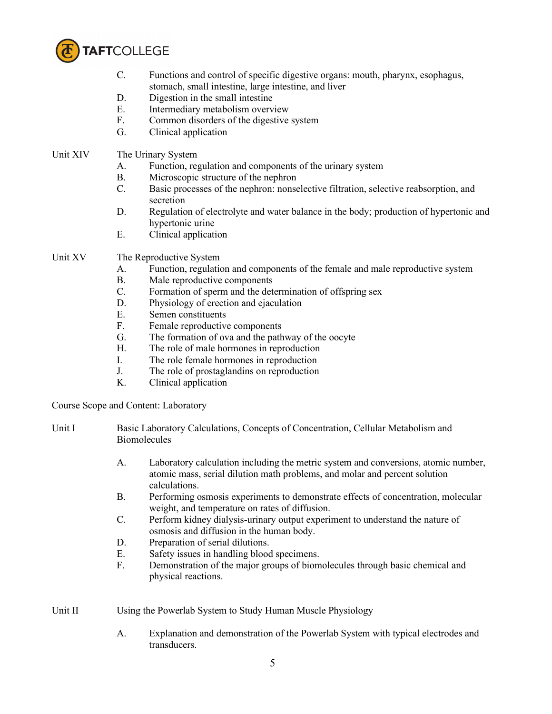

- C. Functions and control of specific digestive organs: mouth, pharynx, esophagus, stomach, small intestine, large intestine, and liver
- D. Digestion in the small intestine
- E. Intermediary metabolism overview
- F. Common disorders of the digestive system
- G. Clinical application

## Unit XIV The Urinary System

- A. Function, regulation and components of the urinary system
- B. Microscopic structure of the nephron
- C. Basic processes of the nephron: nonselective filtration, selective reabsorption, and secretion
- D. Regulation of electrolyte and water balance in the body; production of hypertonic and hypertonic urine
- E. Clinical application

# Unit XV The Reproductive System

- A. Function, regulation and components of the female and male reproductive system
- B. Male reproductive components
- C. Formation of sperm and the determination of offspring sex
- D. Physiology of erection and ejaculation
- E. Semen constituents
- F. Female reproductive components
- G. The formation of ova and the pathway of the oocyte
- H. The role of male hormones in reproduction
- I. The role female hormones in reproduction
- J. The role of prostaglandins on reproduction
- K. Clinical application

Course Scope and Content: Laboratory

- Unit I Basic Laboratory Calculations, Concepts of Concentration, Cellular Metabolism and **Biomolecules** 
	- A. Laboratory calculation including the metric system and conversions, atomic number, atomic mass, serial dilution math problems, and molar and percent solution calculations.
	- B. Performing osmosis experiments to demonstrate effects of concentration, molecular weight, and temperature on rates of diffusion.
	- C. Perform kidney dialysis-urinary output experiment to understand the nature of osmosis and diffusion in the human body.
	- D. Preparation of serial dilutions.
	- E. Safety issues in handling blood specimens.
	- F. Demonstration of the major groups of biomolecules through basic chemical and physical reactions.

Unit II Using the Powerlab System to Study Human Muscle Physiology

A. Explanation and demonstration of the Powerlab System with typical electrodes and transducers.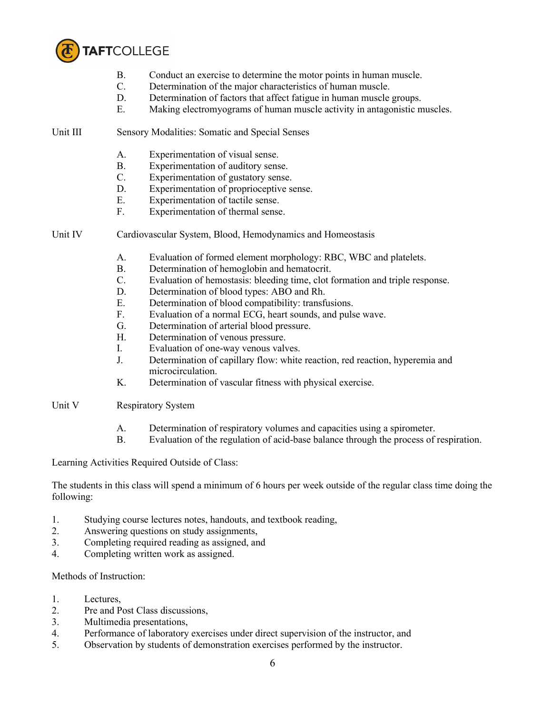

- B. Conduct an exercise to determine the motor points in human muscle.<br>C. Determination of the maior characteristics of human muscle.
- Determination of the major characteristics of human muscle.
- D. Determination of factors that affect fatigue in human muscle groups.
- E. Making electromyograms of human muscle activity in antagonistic muscles.

Unit III Sensory Modalities: Somatic and Special Senses

- A. Experimentation of visual sense.
- B. Experimentation of auditory sense.
- C. Experimentation of gustatory sense.
- D. Experimentation of proprioceptive sense.
- E. Experimentation of tactile sense.
- F. Experimentation of thermal sense.
- Unit IV Cardiovascular System, Blood, Hemodynamics and Homeostasis
	- A. Evaluation of formed element morphology: RBC, WBC and platelets.
	- B. Determination of hemoglobin and hematocrit.
	- C. Evaluation of hemostasis: bleeding time, clot formation and triple response.
	- D. Determination of blood types: ABO and Rh.
	- E. Determination of blood compatibility: transfusions.
	- F. Evaluation of a normal ECG, heart sounds, and pulse wave.
	- G. Determination of arterial blood pressure.
	- H. Determination of venous pressure.
	- I. Evaluation of one-way venous valves.
	- J. Determination of capillary flow: white reaction, red reaction, hyperemia and microcirculation.
	- K. Determination of vascular fitness with physical exercise.
- Unit V Respiratory System
	- A. Determination of respiratory volumes and capacities using a spirometer.
	- B. Evaluation of the regulation of acid-base balance through the process of respiration.

Learning Activities Required Outside of Class:

The students in this class will spend a minimum of 6 hours per week outside of the regular class time doing the following:

- 1. Studying course lectures notes, handouts, and textbook reading,
- 2. Answering questions on study assignments,
- 3. Completing required reading as assigned, and
- 4. Completing written work as assigned.

Methods of Instruction:

- 1. Lectures,
- 2. Pre and Post Class discussions,
- 3. Multimedia presentations,
- 4. Performance of laboratory exercises under direct supervision of the instructor, and
- 5. Observation by students of demonstration exercises performed by the instructor.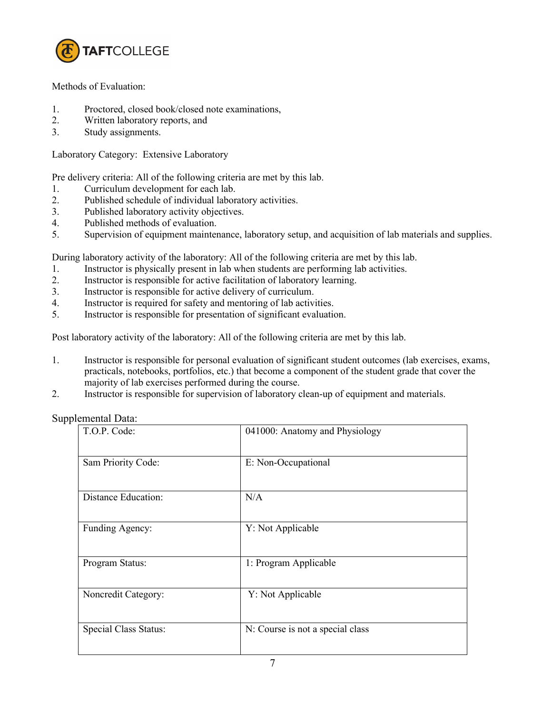

Methods of Evaluation:

- 1. Proctored, closed book/closed note examinations,
- 2. Written laboratory reports, and
- 3. Study assignments.

Laboratory Category: Extensive Laboratory

Pre delivery criteria: All of the following criteria are met by this lab.

- 1. Curriculum development for each lab.
- 2. Published schedule of individual laboratory activities.
- 3. Published laboratory activity objectives.
- 4. Published methods of evaluation.
- 5. Supervision of equipment maintenance, laboratory setup, and acquisition of lab materials and supplies.

During laboratory activity of the laboratory: All of the following criteria are met by this lab.

- 1. Instructor is physically present in lab when students are performing lab activities.
- 2. Instructor is responsible for active facilitation of laboratory learning.
- 3. Instructor is responsible for active delivery of curriculum.
- 4. Instructor is required for safety and mentoring of lab activities.
- 5. Instructor is responsible for presentation of significant evaluation.

Post laboratory activity of the laboratory: All of the following criteria are met by this lab.

- 1. Instructor is responsible for personal evaluation of significant student outcomes (lab exercises, exams, practicals, notebooks, portfolios, etc.) that become a component of the student grade that cover the majority of lab exercises performed during the course.
- 2. Instructor is responsible for supervision of laboratory clean-up of equipment and materials.

Supplemental Data:

| T.O.P. Code:               | 041000: Anatomy and Physiology   |
|----------------------------|----------------------------------|
| Sam Priority Code:         | E: Non-Occupational              |
| <b>Distance Education:</b> | N/A                              |
| Funding Agency:            | Y: Not Applicable                |
| Program Status:            | 1: Program Applicable            |
| Noncredit Category:        | Y: Not Applicable                |
| Special Class Status:      | N: Course is not a special class |